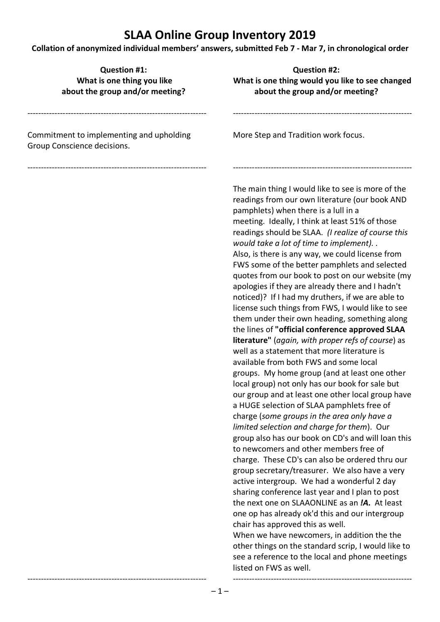**Collation of anonymized individual members' answers, submitted Feb 7 - Mar 7, in chronological order**

| <b>Question #1:</b><br>What is one thing you like<br>about the group and/or meeting? | <b>Question #2:</b><br>What is one thing would you like to see changed<br>about the group and/or meeting?                                                                                                                                                                                                                                                                                                                                                                                                                                                                                                                                                                                                                                                                                                                                                                                                                                                                                                                                                                                                                                                                                                                                                                                                                                                                                                                                                                                                                                                                                                                                                                                                                                                                                                                       |
|--------------------------------------------------------------------------------------|---------------------------------------------------------------------------------------------------------------------------------------------------------------------------------------------------------------------------------------------------------------------------------------------------------------------------------------------------------------------------------------------------------------------------------------------------------------------------------------------------------------------------------------------------------------------------------------------------------------------------------------------------------------------------------------------------------------------------------------------------------------------------------------------------------------------------------------------------------------------------------------------------------------------------------------------------------------------------------------------------------------------------------------------------------------------------------------------------------------------------------------------------------------------------------------------------------------------------------------------------------------------------------------------------------------------------------------------------------------------------------------------------------------------------------------------------------------------------------------------------------------------------------------------------------------------------------------------------------------------------------------------------------------------------------------------------------------------------------------------------------------------------------------------------------------------------------|
| Commitment to implementing and upholding<br>Group Conscience decisions.              | More Step and Tradition work focus.                                                                                                                                                                                                                                                                                                                                                                                                                                                                                                                                                                                                                                                                                                                                                                                                                                                                                                                                                                                                                                                                                                                                                                                                                                                                                                                                                                                                                                                                                                                                                                                                                                                                                                                                                                                             |
|                                                                                      | The main thing I would like to see is more of the<br>readings from our own literature (our book AND<br>pamphlets) when there is a lull in a<br>meeting. Ideally, I think at least 51% of those<br>readings should be SLAA. (I realize of course this<br>would take a lot of time to implement). .<br>Also, is there is any way, we could license from<br>FWS some of the better pamphlets and selected<br>quotes from our book to post on our website (my<br>apologies if they are already there and I hadn't<br>noticed)? If I had my druthers, if we are able to<br>license such things from FWS, I would like to see<br>them under their own heading, something along<br>the lines of "official conference approved SLAA<br><b>literature"</b> (again, with proper refs of course) as<br>well as a statement that more literature is<br>available from both FWS and some local<br>groups. My home group (and at least one other<br>local group) not only has our book for sale but<br>our group and at least one other local group have<br>a HUGE selection of SLAA pamphlets free of<br>charge (some groups in the area only have a<br>limited selection and charge for them). Our<br>group also has our book on CD's and will loan this<br>to newcomers and other members free of<br>charge. These CD's can also be ordered thru our<br>group secretary/treasurer. We also have a very<br>active intergroup. We had a wonderful 2 day<br>sharing conference last year and I plan to post<br>the next one on SLAAONLINE as an <b>!A.</b> At least<br>one op has already ok'd this and our intergroup<br>chair has approved this as well.<br>When we have newcomers, in addition the the<br>other things on the standard scrip, I would like to<br>see a reference to the local and phone meetings<br>listed on FWS as well. |

 $-1-$ 

------------------------------------------------------------------

------------------------------------------------------------------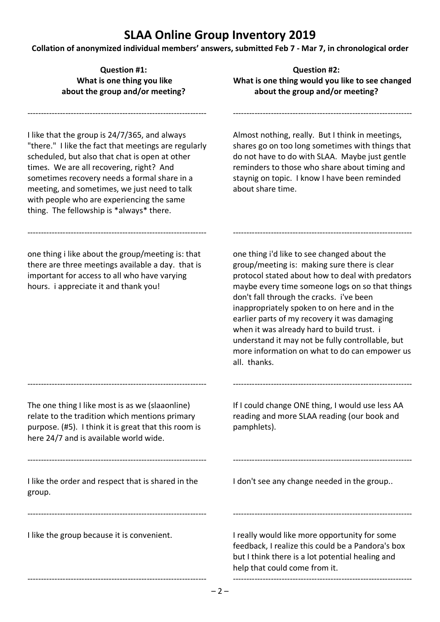**Collation of anonymized individual members' answers, submitted Feb 7 - Mar 7, in chronological order**

I like that the group is 24/7/365, and always "there." I like the fact that meetings are regularly scheduled, but also that chat is open at other times. We are all recovering, right? And sometimes recovery needs a formal share in a meeting, and sometimes, we just need to talk with people who are experiencing the same thing. The fellowship is \*always\* there.

------------------------------------------------------------------

one thing i like about the group/meeting is: that there are three meetings available a day. that is important for access to all who have varying hours. i appreciate it and thank you!

------------------------------------------------------------------

**Question #1: Question #2: What is one thing you like What is one thing would you like to see changed about the group and/or meeting? about the group and/or meeting?**

------------------------------------------------------------------

Almost nothing, really. But I think in meetings, shares go on too long sometimes with things that do not have to do with SLAA. Maybe just gentle reminders to those who share about timing and staynig on topic. I know I have been reminded about share time.

------------------------------------------------------------------

one thing i'd like to see changed about the group/meeting is: making sure there is clear protocol stated about how to deal with predators maybe every time someone logs on so that things don't fall through the cracks. i've been inappropriately spoken to on here and in the earlier parts of my recovery it was damaging when it was already hard to build trust. i understand it may not be fully controllable, but more information on what to do can empower us all. thanks.

The one thing I like most is as we (slaaonline) relate to the tradition which mentions primary purpose. (#5). I think it is great that this room is here 24/7 and is available world wide.

------------------------------------------------------------------

If I could change ONE thing, I would use less AA reading and more SLAA reading (our book and pamphlets).

------------------------------------------------------------------

------------------------------------------------------------------

I like the order and respect that is shared in the group.

------------------------------------------------------------------

------------------------------------------------------------------

------------------------------------------------------------------

I like the group because it is convenient.

I don't see any change needed in the group..

I really would like more opportunity for some feedback, I realize this could be a Pandora's box but I think there is a lot potential healing and help that could come from it.

------------------------------------------------------------------

------------------------------------------------------------------

 $-2-$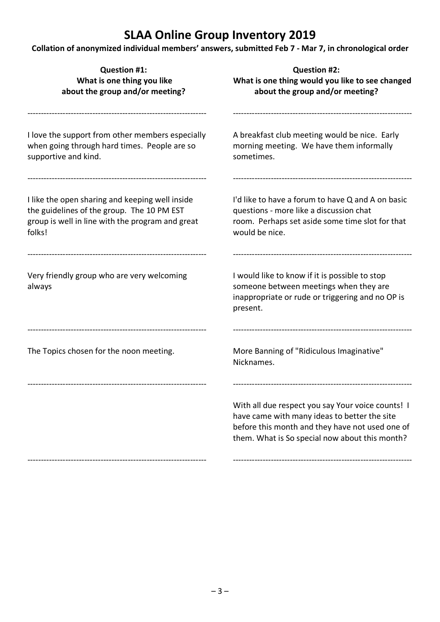**Collation of anonymized individual members' answers, submitted Feb 7 - Mar 7, in chronological order**

| <b>Question #1:</b><br>What is one thing you like<br>about the group and/or meeting?                                                                        | <b>Question #2:</b><br>What is one thing would you like to see changed<br>about the group and/or meeting?                                                                                              |
|-------------------------------------------------------------------------------------------------------------------------------------------------------------|--------------------------------------------------------------------------------------------------------------------------------------------------------------------------------------------------------|
| I love the support from other members especially<br>when going through hard times. People are so<br>supportive and kind.                                    | A breakfast club meeting would be nice. Early<br>morning meeting. We have them informally<br>sometimes.                                                                                                |
| I like the open sharing and keeping well inside<br>the guidelines of the group. The 10 PM EST<br>group is well in line with the program and great<br>folks! | I'd like to have a forum to have Q and A on basic<br>questions - more like a discussion chat<br>room. Perhaps set aside some time slot for that<br>would be nice.                                      |
| Very friendly group who are very welcoming<br>always                                                                                                        | I would like to know if it is possible to stop<br>someone between meetings when they are<br>inappropriate or rude or triggering and no OP is<br>present.                                               |
| The Topics chosen for the noon meeting.                                                                                                                     | More Banning of "Ridiculous Imaginative"<br>Nicknames.                                                                                                                                                 |
|                                                                                                                                                             | With all due respect you say Your voice counts! I<br>have came with many ideas to better the site<br>before this month and they have not used one of<br>them. What is So special now about this month? |
|                                                                                                                                                             |                                                                                                                                                                                                        |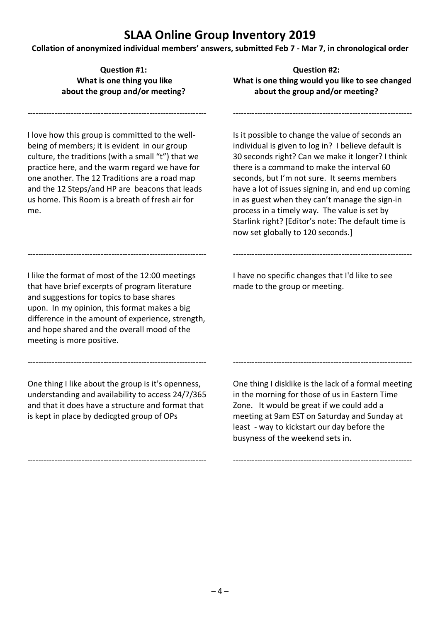**Collation of anonymized individual members' answers, submitted Feb 7 - Mar 7, in chronological order**

I love how this group is committed to the wellbeing of members; it is evident in our group culture, the traditions (with a small "t") that we practice here, and the warm regard we have for one another. The 12 Traditions are a road map and the 12 Steps/and HP are beacons that leads us home. This Room is a breath of fresh air for me.

------------------------------------------------------------------

------------------------------------------------------------------ I like the format of most of the 12:00 meetings that have brief excerpts of program literature and suggestions for topics to base shares upon. In my opinion, this format makes a big difference in the amount of experience, strength, and hope shared and the overall mood of the

**Question #1: Question #2: What is one thing you like What is one thing would you like to see changed about the group and/or meeting? about the group and/or meeting?**

------------------------------------------------------------------

Is it possible to change the value of seconds an individual is given to log in? I believe default is 30 seconds right? Can we make it longer? I think there is a command to make the interval 60 seconds, but I'm not sure. It seems members have a lot of issues signing in, and end up coming in as guest when they can't manage the sign-in process in a timely way. The value is set by Starlink right? [Editor's note: The default time is now set globally to 120 seconds.]

I have no specific changes that I'd like to see made to the group or meeting.

------------------------------------------------------------------

One thing I like about the group is it's openness, understanding and availability to access 24/7/365 and that it does have a structure and format that is kept in place by dedicgted group of OPs

------------------------------------------------------------------

------------------------------------------------------------------

meeting is more positive.

One thing I disklike is the lack of a formal meeting in the morning for those of us in Eastern Time Zone. It would be great if we could add a meeting at 9am EST on Saturday and Sunday at least - way to kickstart our day before the busyness of the weekend sets in.

------------------------------------------------------------------

------------------------------------------------------------------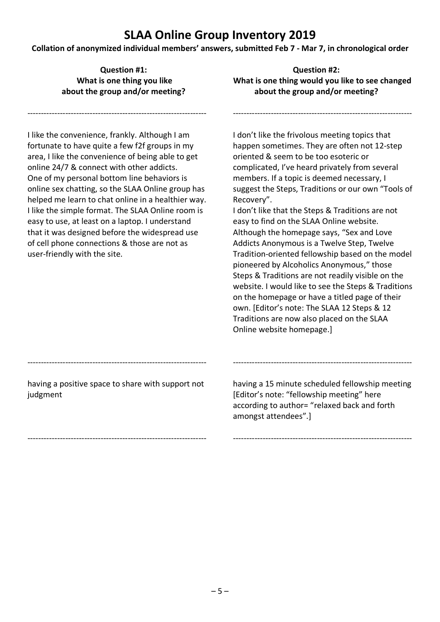**Collation of anonymized individual members' answers, submitted Feb 7 - Mar 7, in chronological order**

------------------------------------------------------------------

**Question #1: Question #2:** What is one thing you like **What is one thing would you like to see changed about the group and/or meeting? about the group and/or meeting?**

------------------------------------------------------------------

I like the convenience, frankly. Although I am fortunate to have quite a few f2f groups in my area, I like the convenience of being able to get online 24/7 & connect with other addicts. One of my personal bottom line behaviors is online sex chatting, so the SLAA Online group has helped me learn to chat online in a healthier way. I like the simple format. The SLAA Online room is easy to use, at least on a laptop. I understand that it was designed before the widespread use of cell phone connections & those are not as user-friendly with the site.

I don't like the frivolous meeting topics that happen sometimes. They are often not 12-step oriented & seem to be too esoteric or complicated, I've heard privately from several members. If a topic is deemed necessary, I suggest the Steps, Traditions or our own "Tools of Recovery".

I don't like that the Steps & Traditions are not easy to find on the SLAA Online website. Although the homepage says, "Sex and Love Addicts Anonymous is a Twelve Step, Twelve Tradition-oriented fellowship based on the model pioneered by Alcoholics Anonymous," those Steps & Traditions are not readily visible on the website. I would like to see the Steps & Traditions on the homepage or have a titled page of their own. [Editor's note: The SLAA 12 Steps & 12 Traditions are now also placed on the SLAA Online website homepage.]

having a positive space to share with support not judgment

------------------------------------------------------------------

------------------------------------------------------------------

having a 15 minute scheduled fellowship meeting [Editor's note: "fellowship meeting" here according to author= "relaxed back and forth amongst attendees".]

------------------------------------------------------------------

------------------------------------------------------------------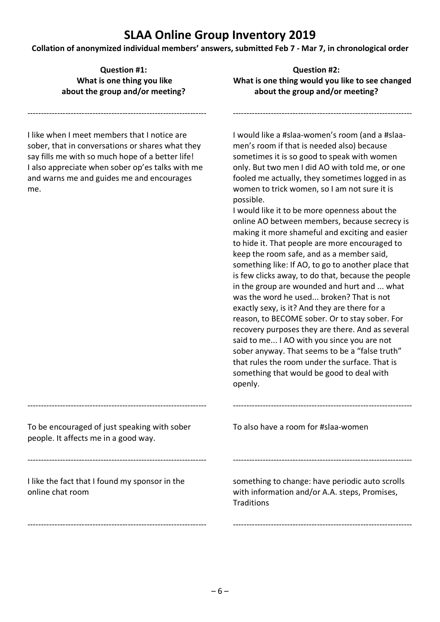**Collation of anonymized individual members' answers, submitted Feb 7 - Mar 7, in chronological order**

**Question #1: Question #2:**

What is one thing you like **What is one thing would you like to see changed about the group and/or meeting? about the group and/or meeting?** ------------------------------------------------------------------ I like when I meet members that I notice are sober, that in conversations or shares what they say fills me with so much hope of a better life! I also appreciate when sober op'es talks with me and warns me and guides me and encourages me. ------------------------------------------------------------------ To be encouraged of just speaking with sober people. It affects me in a good way. ------------------------------------------------------------------ I like the fact that I found my sponsor in the online chat room ------------------------------------------------------------------ ------------------------------------------------------------------ I would like a #slaa-women's room (and a #slaamen's room if that is needed also) because sometimes it is so good to speak with women only. But two men I did AO with told me, or one fooled me actually, they sometimes logged in as women to trick women, so I am not sure it is possible. I would like it to be more openness about the online AO between members, because secrecy is making it more shameful and exciting and easier to hide it. That people are more encouraged to keep the room safe, and as a member said, something like: If AO, to go to another place that is few clicks away, to do that, because the people in the group are wounded and hurt and ... what was the word he used... broken? That is not exactly sexy, is it? And they are there for a reason, to BECOME sober. Or to stay sober. For recovery purposes they are there. And as several said to me... I AO with you since you are not sober anyway. That seems to be a "false truth" that rules the room under the surface. That is something that would be good to deal with openly. ------------------------------------------------------------------ To also have a room for #slaa-women ----------------------------------------------------------------- something to change: have periodic auto scrolls with information and/or A.A. steps, Promises, **Traditions** ------------------------------------------------------------------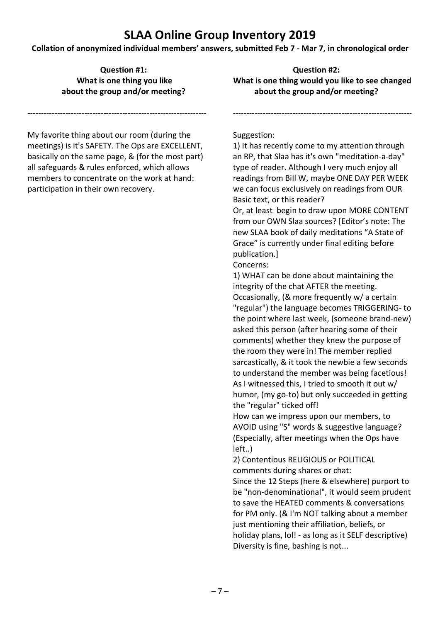**Collation of anonymized individual members' answers, submitted Feb 7 - Mar 7, in chronological order**

**Question #1: Question #2:**

**What is one thing you like What is one thing would you like to see changed about the group and/or meeting? about the group and/or meeting?**

------------------------------------------------------------------

My favorite thing about our room (during the meetings) is it's SAFETY. The Ops are EXCELLENT, basically on the same page, & (for the most part) all safeguards & rules enforced, which allows members to concentrate on the work at hand: participation in their own recovery.

------------------------------------------------------------------

#### Suggestion:

1) It has recently come to my attention through an RP, that Slaa has it's own "meditation-a-day" type of reader. Although I very much enjoy all readings from Bill W, maybe ONE DAY PER WEEK we can focus exclusively on readings from OUR Basic text, or this reader?

Or, at least begin to draw upon MORE CONTENT from our OWN Slaa sources? [Editor's note: The new SLAA book of daily meditations "A State of Grace" is currently under final editing before publication.]

Concerns:

1) WHAT can be done about maintaining the integrity of the chat AFTER the meeting. Occasionally, (& more frequently w/ a certain "regular") the language becomes TRIGGERING- to the point where last week, (someone brand-new) asked this person (after hearing some of their comments) whether they knew the purpose of the room they were in! The member replied sarcastically, & it took the newbie a few seconds to understand the member was being facetious! As I witnessed this, I tried to smooth it out w/ humor, (my go-to) but only succeeded in getting the "regular" ticked off!

How can we impress upon our members, to AVOID using "S" words & suggestive language? (Especially, after meetings when the Ops have left..)

2) Contentious RELIGIOUS or POLITICAL comments during shares or chat:

Since the 12 Steps (here & elsewhere) purport to be "non-denominational", it would seem prudent to save the HEATED comments & conversations for PM only. (& I'm NOT talking about a member just mentioning their affiliation, beliefs, or holiday plans, lol! - as long as it SELF descriptive) Diversity is fine, bashing is not...